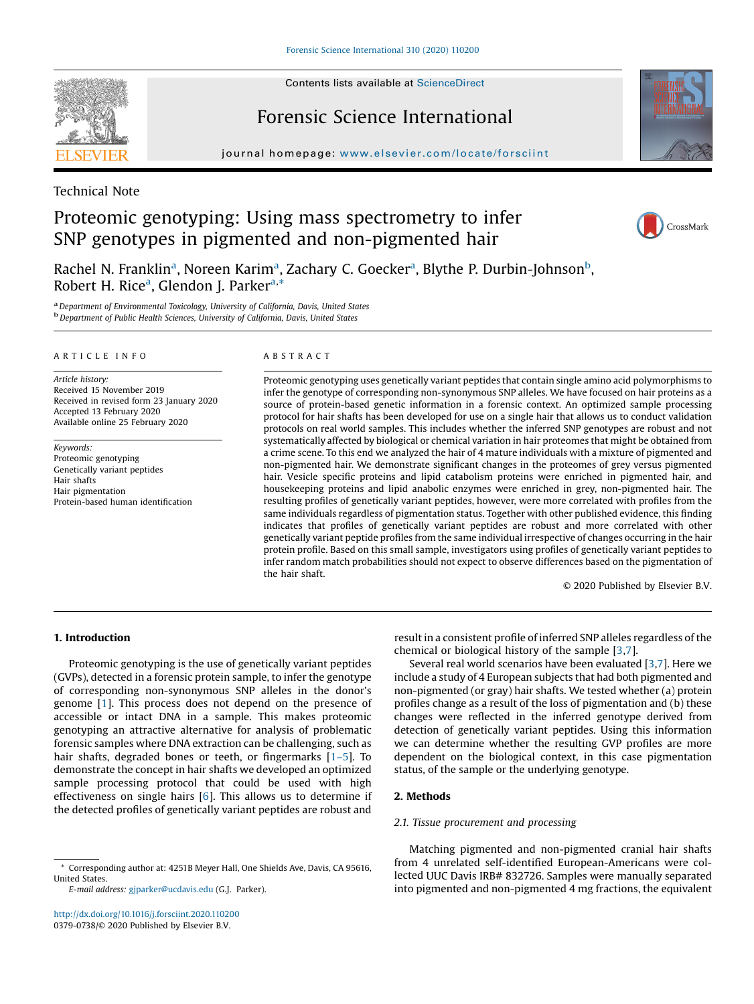# Forensic Science International

journal homepage: <www.elsevier.com/locate/forsciint> $\mathcal{L}$ 

Technical Note

# Proteomic genotyping: Using mass spectrometry to infer SNP genotypes in pigmented and non-pigmented hair

Rachel N. Franklin<sup>a</sup>, Noreen Karim<sup>a</sup>, Zachary C. Goecker<sup>a</sup>, Blythe P. Durbin-Johnson<sup>b</sup>, Robert H. Rice<sup>a</sup>, Glendon J. Parker<sup>a,\*</sup>

<sup>a</sup> Department of Environmental Toxicology, University of California, Davis, United States b<br><sup>b</sup> Department of Public Health Sciences, University of California, Davis, United States

#### A R T I C L E I N F O

Article history: Received 15 November 2019 Received in revised form 23 January 2020 Accepted 13 February 2020 Available online 25 February 2020

Keywords: Proteomic genotyping Genetically variant peptides Hair shafts Hair pigmentation Protein-based human identification

#### A B S T R A C T

Proteomic genotyping uses genetically variant peptides that contain single amino acid polymorphisms to infer the genotype of corresponding non-synonymous SNP alleles. We have focused on hair proteins as a source of protein-based genetic information in a forensic context. An optimized sample processing protocol for hair shafts has been developed for use on a single hair that allows us to conduct validation protocols on real world samples. This includes whether the inferred SNP genotypes are robust and not systematically affected by biological or chemical variation in hair proteomes that might be obtained from a crime scene. To this end we analyzed the hair of 4 mature individuals with a mixture of pigmented and non-pigmented hair. We demonstrate significant changes in the proteomes of grey versus pigmented hair. Vesicle specific proteins and lipid catabolism proteins were enriched in pigmented hair, and housekeeping proteins and lipid anabolic enzymes were enriched in grey, non-pigmented hair. The resulting profiles of genetically variant peptides, however, were more correlated with profiles from the same individuals regardless of pigmentation status. Together with other published evidence, this finding indicates that profiles of genetically variant peptides are robust and more correlated with other genetically variant peptide profiles from the same individual irrespective of changes occurring in the hair protein profile. Based on this small sample, investigators using profiles of genetically variant peptides to infer random match probabilities should not expect to observe differences based on the pigmentation of the hair shaft.

© 2020 Published by Elsevier B.V.

# 1. Introduction

Proteomic genotyping is the use of genetically variant peptides (GVPs), detected in a forensic protein sample, to infer the genotype of corresponding non-synonymous SNP alleles in the donor's genome [\[1](#page-4-0)]. This process does not depend on the presence of accessible or intact DNA in a sample. This makes proteomic genotyping an attractive alternative for analysis of problematic forensic samples where DNA extraction can be challenging, such as hair shafts, degraded bones or teeth, or fingermarks [1–[5\]](#page-4-0). To demonstrate the concept in hair shafts we developed an optimized sample processing protocol that could be used with high effectiveness on single hairs [\[6](#page-4-0)]. This allows us to determine if the detected profiles of genetically variant peptides are robust and

Corresponding author at: 4251B Meyer Hall, One Shields Ave, Davis, CA 95616, United States.

E-mail address: [gjparker@ucdavis.edu](mailto:gjparker@ucdavis.edu) (G.J. Parker).

<http://dx.doi.org/10.1016/j.forsciint.2020.110200> 0379-0738/© 2020 Published by Elsevier B.V.

result in a consistent profile of inferred SNP alleles regardless of the chemical or biological history of the sample [\[3,7](#page-4-0)].

Several real world scenarios have been evaluated [\[3,7](#page-4-0)]. Here we include a study of 4 European subjects that had both pigmented and non-pigmented (or gray) hair shafts. We tested whether (a) protein profiles change as a result of the loss of pigmentation and (b) these changes were reflected in the inferred genotype derived from detection of genetically variant peptides. Using this information we can determine whether the resulting GVP profiles are more dependent on the biological context, in this case pigmentation status, of the sample or the underlying genotype.

## 2. Methods

# 2.1. Tissue procurement and processing

Matching pigmented and non-pigmented cranial hair shafts from 4 unrelated self-identified European-Americans were collected UUC Davis IRB# 832726. Samples were manually separated into pigmented and non-pigmented 4 mg fractions, the equivalent





CrossMark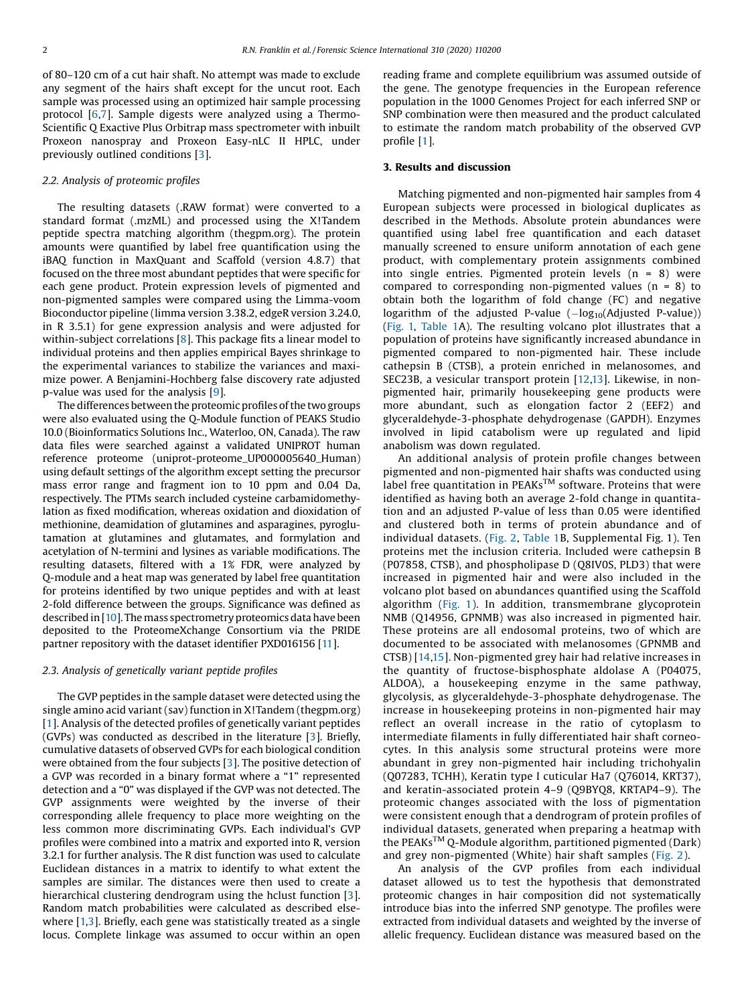of 80–120 cm of a cut hair shaft. No attempt was made to exclude any segment of the hairs shaft except for the uncut root. Each sample was processed using an optimized hair sample processing protocol [[6](#page-4-0),[7](#page-4-0)]. Sample digests were analyzed using a Thermo-Scientific Q Exactive Plus Orbitrap mass spectrometer with inbuilt Proxeon nanospray and Proxeon Easy-nLC II HPLC, under previously outlined conditions [[3](#page-4-0)].

#### 2.2. Analysis of proteomic profiles

The resulting datasets (.RAW format) were converted to a standard format (.mzML) and processed using the X!Tandem peptide spectra matching algorithm (thegpm.org). The protein amounts were quantified by label free quantification using the iBAQ function in MaxQuant and Scaffold (version 4.8.7) that focused on the three most abundant peptides that were specific for each gene product. Protein expression levels of pigmented and non-pigmented samples were compared using the Limma-voom Bioconductor pipeline (limma version 3.38.2, edgeR version 3.24.0, in R 3.5.1) for gene expression analysis and were adjusted for within-subject correlations [[8](#page-4-0)]. This package fits a linear model to individual proteins and then applies empirical Bayes shrinkage to the experimental variances to stabilize the variances and maximize power. A Benjamini-Hochberg false discovery rate adjusted p-value was used for the analysis [[9](#page-4-0)].

The differences between the proteomic profiles of the two groups were also evaluated using the Q-Module function of PEAKS Studio 10.0 (Bioinformatics Solutions Inc., Waterloo, ON, Canada). The raw data files were searched against a validated UNIPROT human reference proteome (uniprot-proteome\_UP000005640\_Human) using default settings of the algorithm except setting the precursor mass error range and fragment ion to 10 ppm and 0.04 Da, respectively. The PTMs search included cysteine carbamidomethylation as fixed modification, whereas oxidation and dioxidation of methionine, deamidation of glutamines and asparagines, pyroglutamation at glutamines and glutamates, and formylation and acetylation of N-termini and lysines as variable modifications. The resulting datasets, filtered with a 1% FDR, were analyzed by Q-module and a heat map was generated by label free quantitation for proteins identified by two unique peptides and with at least 2-fold difference between the groups. Significance was defined as described in  $[10]$  $[10]$ . The mass spectrometry proteomics data have been deposited to the ProteomeXchange Consortium via the PRIDE partner repository with the dataset identifier PXD016156 [\[11](#page-4-0)].

### 2.3. Analysis of genetically variant peptide profiles

The GVP peptides in the sample dataset were detected using the single amino acid variant (sav) function in X!Tandem (thegpm.org) [[1](#page-4-0)]. Analysis of the detected profiles of genetically variant peptides (GVPs) was conducted as described in the literature [[3\]](#page-4-0). Briefly, cumulative datasets of observed GVPs for each biological condition were obtained from the four subjects [\[3](#page-4-0)]. The positive detection of a GVP was recorded in a binary format where a "1" represented detection and a "0" was displayed if the GVP was not detected. The GVP assignments were weighted by the inverse of their corresponding allele frequency to place more weighting on the less common more discriminating GVPs. Each individual's GVP profiles were combined into a matrix and exported into R, version 3.2.1 for further analysis. The R dist function was used to calculate Euclidean distances in a matrix to identify to what extent the samples are similar. The distances were then used to create a hierarchical clustering dendrogram using the hclust function [[3\]](#page-4-0). Random match probabilities were calculated as described else-where [\[1,3](#page-4-0)]. Briefly, each gene was statistically treated as a single locus. Complete linkage was assumed to occur within an open

reading frame and complete equilibrium was assumed outside of the gene. The genotype frequencies in the European reference population in the 1000 Genomes Project for each inferred SNP or SNP combination were then measured and the product calculated to estimate the random match probability of the observed GVP profile [\[1](#page-4-0)].

## 3. Results and discussion

Matching pigmented and non-pigmented hair samples from 4 European subjects were processed in biological duplicates as described in the Methods. Absolute protein abundances were quantified using label free quantification and each dataset manually screened to ensure uniform annotation of each gene product, with complementary protein assignments combined into single entries. Pigmented protein levels  $(n = 8)$  were compared to corresponding non-pigmented values  $(n = 8)$  to obtain both the logarithm of fold change (FC) and negative logarithm of the adjusted P-value  $(-\log_{10}(Ad)$ usted P-value)) ([Fig.](#page-2-0) 1, [Table](#page-2-0) 1A). The resulting volcano plot illustrates that a population of proteins have significantly increased abundance in pigmented compared to non-pigmented hair. These include cathepsin B (CTSB), a protein enriched in melanosomes, and SEC23B, a vesicular transport protein [[12,13](#page-4-0)]. Likewise, in nonpigmented hair, primarily housekeeping gene products were more abundant, such as elongation factor 2 (EEF2) and glyceraldehyde-3-phosphate dehydrogenase (GAPDH). Enzymes involved in lipid catabolism were up regulated and lipid anabolism was down regulated.

An additional analysis of protein profile changes between pigmented and non-pigmented hair shafts was conducted using label free quantitation in PEAKs<sup>TM</sup> software. Proteins that were identified as having both an average 2-fold change in quantitation and an adjusted P-value of less than 0.05 were identified and clustered both in terms of protein abundance and of individual datasets. ([Fig.](#page-3-0) 2, [Table](#page-2-0) 1B, Supplemental Fig. 1). Ten proteins met the inclusion criteria. Included were cathepsin B (P07858, CTSB), and phospholipase D (Q8IV0S, PLD3) that were increased in pigmented hair and were also included in the volcano plot based on abundances quantified using the Scaffold algorithm ([Fig.](#page-2-0) 1). In addition, transmembrane glycoprotein NMB (Q14956, GPNMB) was also increased in pigmented hair. These proteins are all endosomal proteins, two of which are documented to be associated with melanosomes (GPNMB and CTSB) [\[14,15](#page-4-0)]. Non-pigmented grey hair had relative increases in the quantity of fructose-bisphosphate aldolase A (P04075, ALDOA), a housekeeping enzyme in the same pathway, glycolysis, as glyceraldehyde-3-phosphate dehydrogenase. The increase in housekeeping proteins in non-pigmented hair may reflect an overall increase in the ratio of cytoplasm to intermediate filaments in fully differentiated hair shaft corneocytes. In this analysis some structural proteins were more abundant in grey non-pigmented hair including trichohyalin (Q07283, TCHH), Keratin type I cuticular Ha7 (Q76014, KRT37), and keratin-associated protein 4–9 (Q9BYQ8, KRTAP4–9). The proteomic changes associated with the loss of pigmentation were consistent enough that a dendrogram of protein profiles of individual datasets, generated when preparing a heatmap with the PEAKs<sup>TM</sup> Q-Module algorithm, partitioned pigmented (Dark) and grey non-pigmented (White) hair shaft samples [\(Fig.](#page-3-0) 2).

An analysis of the GVP profiles from each individual dataset allowed us to test the hypothesis that demonstrated proteomic changes in hair composition did not systematically introduce bias into the inferred SNP genotype. The profiles were extracted from individual datasets and weighted by the inverse of allelic frequency. Euclidean distance was measured based on the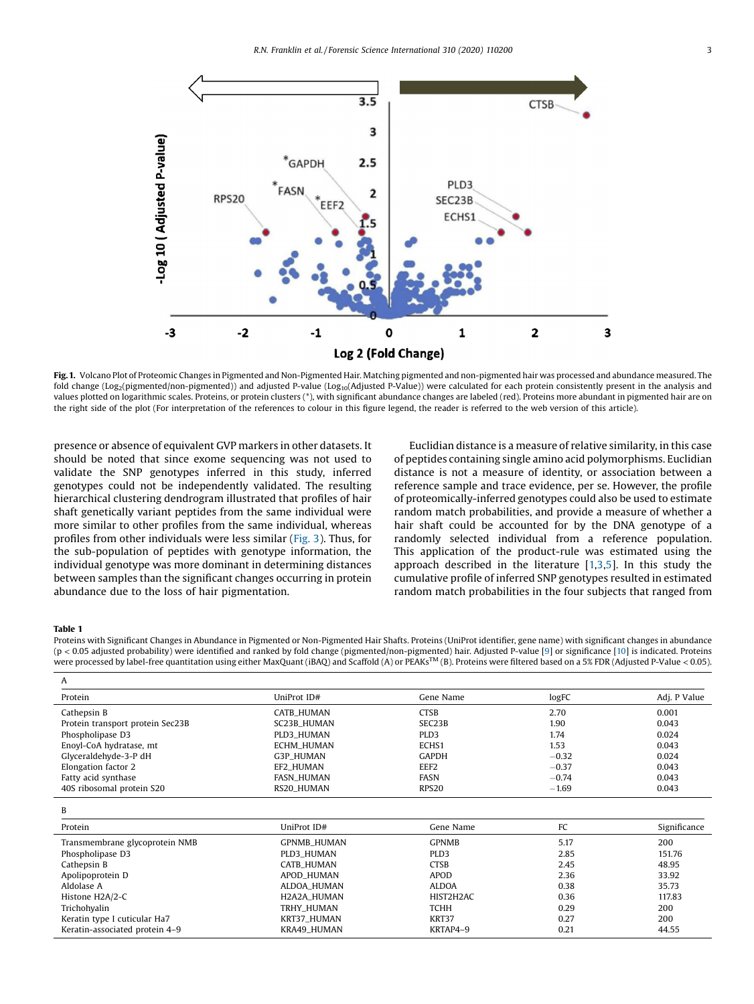<span id="page-2-0"></span>

Fig. 1. Volcano Plot of Proteomic Changes in Pigmented and Non-Pigmented Hair. Matching pigmented and non-pigmented hair was processed and abundance measured. The fold change (Log<sub>2</sub>(pigmented/non-pigmented)) and adjusted P-value (Log<sub>10</sub>(Adjusted P-Value)) were calculated for each protein consistently present in the analysis and values plotted on logarithmic scales. Proteins, or protein clusters (\*), with significant abundance changes are labeled (red). Proteins more abundant in pigmented hair are on the right side of the plot (For interpretation of the references to colour in this figure legend, the reader is referred to the web version of this article).

presence or absence of equivalent GVP markers in other datasets. It should be noted that since exome sequencing was not used to validate the SNP genotypes inferred in this study, inferred genotypes could not be independently validated. The resulting hierarchical clustering dendrogram illustrated that profiles of hair shaft genetically variant peptides from the same individual were more similar to other profiles from the same individual, whereas profiles from other individuals were less similar [\(Fig.](#page-3-0) 3). Thus, for the sub-population of peptides with genotype information, the individual genotype was more dominant in determining distances between samples than the significant changes occurring in protein abundance due to the loss of hair pigmentation.

Euclidian distance is a measure of relative similarity, in this case of peptides containing single amino acid polymorphisms. Euclidian distance is not a measure of identity, or association between a reference sample and trace evidence, per se. However, the profile of proteomically-inferred genotypes could also be used to estimate random match probabilities, and provide a measure of whether a hair shaft could be accounted for by the DNA genotype of a randomly selected individual from a reference population. This application of the product-rule was estimated using the approach described in the literature [\[1,3,5\]](#page-4-0). In this study the cumulative profile of inferred SNP genotypes resulted in estimated random match probabilities in the four subjects that ranged from

#### Table 1

Proteins with Significant Changes in Abundance in Pigmented or Non-Pigmented Hair Shafts. Proteins (UniProt identifier, gene name) with significant changes in abundance (p < 0.05 adjusted probability) were identified and ranked by fold change (pigmented/non-pigmented) hair. Adjusted P-value [\[9](#page-4-0)] or significance [\[10\]](#page-4-0) is indicated. Proteins were processed by label-free quantitation using either MaxQuant (iBAQ) and Scaffold (A) or PEAKsTM (B). Proteins were filtered based on a 5% FDR (Adjusted P-Value < 0.05).

| A                                |                    |                  |         |              |
|----------------------------------|--------------------|------------------|---------|--------------|
| Protein                          | UniProt ID#        | Gene Name        | logFC   | Adj. P Value |
| Cathepsin B                      | CATB_HUMAN         | <b>CTSB</b>      | 2.70    | 0.001        |
| Protein transport protein Sec23B | <b>SC23B HUMAN</b> | SEC23B           | 1.90    | 0.043        |
| Phospholipase D3                 | PLD3_HUMAN         | PLD3             | 1.74    | 0.024        |
| Enoyl-CoA hydratase, mt          | <b>ECHM HUMAN</b>  | ECHS1            | 1.53    | 0.043        |
| Glyceraldehyde-3-P dH            | G3P_HUMAN          | <b>GAPDH</b>     | $-0.32$ | 0.024        |
| Elongation factor 2              | EF2_HUMAN          | EEF <sub>2</sub> | $-0.37$ | 0.043        |
| Fatty acid synthase              | <b>FASN_HUMAN</b>  | FASN             | $-0.74$ | 0.043        |
| 40S ribosomal protein S20        | RS20_HUMAN         | RPS20            | $-1.69$ | 0.043        |
| B                                |                    |                  |         |              |
| Protein                          | UniProt ID#        | Gene Name        | FC      | Significance |
| Transmembrane glycoprotein NMB   | <b>GPNMB_HUMAN</b> | <b>GPNMB</b>     | 5.17    | 200          |
| Phospholipase D3                 | PLD3 HUMAN         | PLD3             | 2.85    | 151.76       |
| Cathepsin B                      | <b>CATB HUMAN</b>  | <b>CTSB</b>      | 2.45    | 48.95        |
| Apolipoprotein D                 | <b>APOD HUMAN</b>  | <b>APOD</b>      | 2.36    | 33.92        |
| Aldolase A                       | ALDOA_HUMAN        | <b>ALDOA</b>     | 0.38    | 35.73        |
| Histone H2A/2-C                  | H2A2A_HUMAN        | HIST2H2AC        | 0.36    | 117.83       |
| Trichohyalin                     | <b>TRHY HUMAN</b>  | <b>TCHH</b>      | 0.29    | 200          |
| Keratin type I cuticular Ha7     | KRT37_HUMAN        | KRT37            | 0.27    | 200          |
| Keratin-associated protein 4-9   | KRA49_HUMAN        | KRTAP4-9         | 0.21    | 44.55        |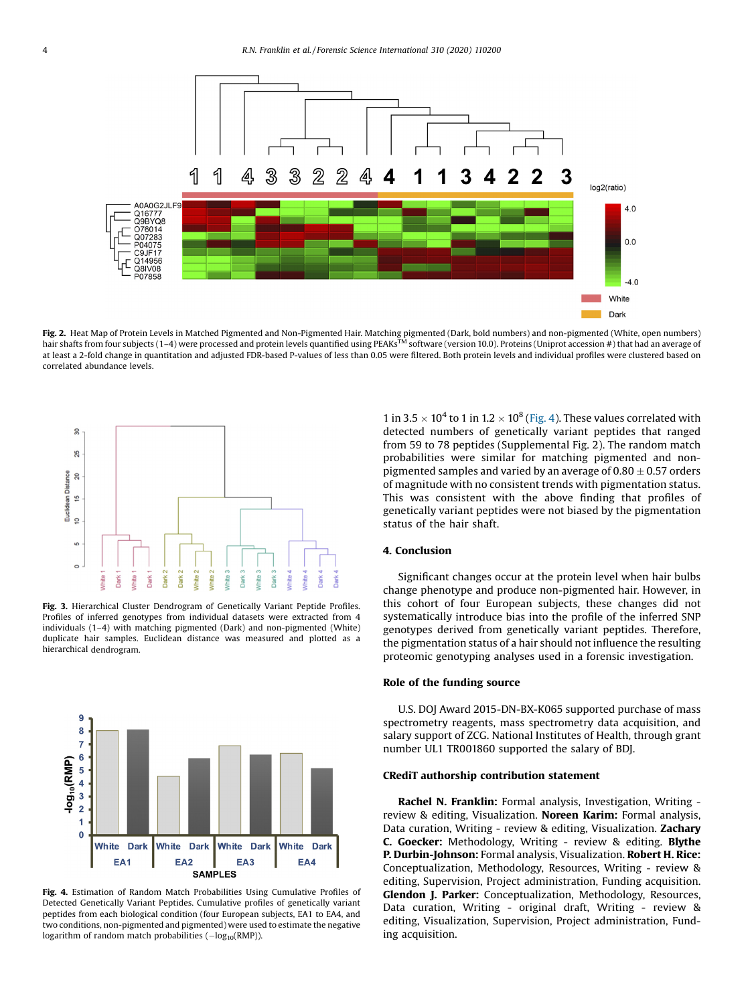<span id="page-3-0"></span>

Fig. 2. Heat Map of Protein Levels in Matched Pigmented and Non-Pigmented Hair. Matching pigmented (Dark, bold numbers) and non-pigmented (White, open numbers) hair shafts from four subjects (1-4) were processed and protein levels quantified using PEAKs™ software (version 10.0). Proteins (Uniprot accession #) that had an average of at least a 2-fold change in quantitation and adjusted FDR-based P-values of less than 0.05 were filtered. Both protein levels and individual profiles were clustered based on correlated abundance levels.



Fig. 3. Hierarchical Cluster Dendrogram of Genetically Variant Peptide Profiles. Profiles of inferred genotypes from individual datasets were extracted from 4 individuals (1–4) with matching pigmented (Dark) and non-pigmented (White) duplicate hair samples. Euclidean distance was measured and plotted as a hierarchical dendrogram.



Fig. 4. Estimation of Random Match Probabilities Using Cumulative Profiles of Detected Genetically Variant Peptides. Cumulative profiles of genetically variant peptides from each biological condition (four European subjects, EA1 to EA4, and two conditions, non-pigmented and pigmented) were used to estimate the negative logarithm of random match probabilities  $(-\log_{10}(RMP))$ .

1 in 3.5  $\times$  10<sup>4</sup> to 1 in 1.2  $\times$  10<sup>8</sup> (Fig. 4). These values correlated with detected numbers of genetically variant peptides that ranged from 59 to 78 peptides (Supplemental Fig. 2). The random match probabilities were similar for matching pigmented and nonpigmented samples and varied by an average of  $0.80 \pm 0.57$  orders of magnitude with no consistent trends with pigmentation status. This was consistent with the above finding that profiles of genetically variant peptides were not biased by the pigmentation status of the hair shaft.

# 4. Conclusion

Significant changes occur at the protein level when hair bulbs change phenotype and produce non-pigmented hair. However, in this cohort of four European subjects, these changes did not systematically introduce bias into the profile of the inferred SNP genotypes derived from genetically variant peptides. Therefore, the pigmentation status of a hair should not influence the resulting proteomic genotyping analyses used in a forensic investigation.

# Role of the funding source

U.S. DOJ Award 2015-DN-BX-K065 supported purchase of mass spectrometry reagents, mass spectrometry data acquisition, and salary support of ZCG. National Institutes of Health, through grant number UL1 TR001860 supported the salary of BDJ.

## CRediT authorship contribution statement

Rachel N. Franklin: Formal analysis, Investigation, Writing review & editing, Visualization. Noreen Karim: Formal analysis, Data curation, Writing - review & editing, Visualization. **Zachary** C. Goecker: Methodology, Writing - review & editing. Blythe P. Durbin-Johnson: Formal analysis, Visualization. Robert H. Rice: Conceptualization, Methodology, Resources, Writing - review & editing, Supervision, Project administration, Funding acquisition. Glendon J. Parker: Conceptualization, Methodology, Resources, Data curation, Writing - original draft, Writing - review & editing, Visualization, Supervision, Project administration, Funding acquisition.